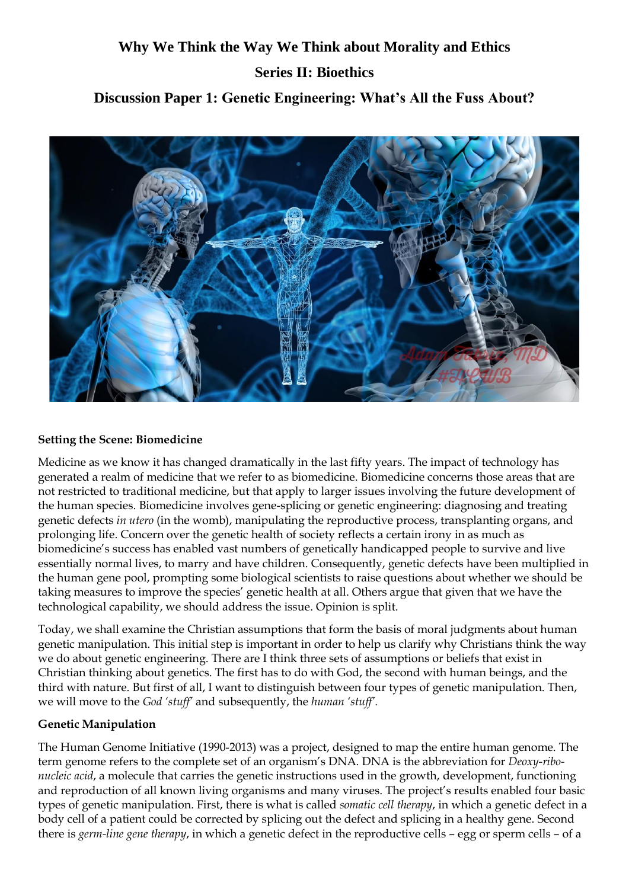# **Why We Think the Way We Think about Morality and Ethics Series II: Bioethics Discussion Paper 1: Genetic Engineering: What's All the Fuss About?**



#### **Setting the Scene: Biomedicine**

Medicine as we know it has changed dramatically in the last fifty years. The impact of technology has generated a realm of medicine that we refer to as biomedicine. Biomedicine concerns those areas that are not restricted to traditional medicine, but that apply to larger issues involving the future development of the human species. Biomedicine involves gene-splicing or genetic engineering: diagnosing and treating genetic defects *in utero* (in the womb), manipulating the reproductive process, transplanting organs, and prolonging life. Concern over the genetic health of society reflects a certain irony in as much as biomedicine's success has enabled vast numbers of genetically handicapped people to survive and live essentially normal lives, to marry and have children. Consequently, genetic defects have been multiplied in the human gene pool, prompting some biological scientists to raise questions about whether we should be taking measures to improve the species' genetic health at all. Others argue that given that we have the technological capability, we should address the issue. Opinion is split.

Today, we shall examine the Christian assumptions that form the basis of moral judgments about human genetic manipulation. This initial step is important in order to help us clarify why Christians think the way we do about genetic engineering. There are I think three sets of assumptions or beliefs that exist in Christian thinking about genetics. The first has to do with God, the second with human beings, and the third with nature. But first of all, I want to distinguish between four types of genetic manipulation. Then, we will move to the *God 'stuff'* and subsequently, the *human 'stuff'.*

#### **Genetic Manipulation**

The Human Genome Initiative (1990-2013) was a project, designed to map the entire human genome. The term genome refers to the complete set of an organism's DNA. DNA is the abbreviation for *Deoxy-ribonucleic acid*, a molecule that carries the genetic instructions used in the growth, development, functioning and reproduction of all known living organisms and many viruses. The project's results enabled four basic types of genetic manipulation. First, there is what is called *somatic cell therapy*, in which a genetic defect in a body cell of a patient could be corrected by splicing out the defect and splicing in a healthy gene. Second there is *germ-line gene therapy*, in which a genetic defect in the reproductive cells – egg or sperm cells – of a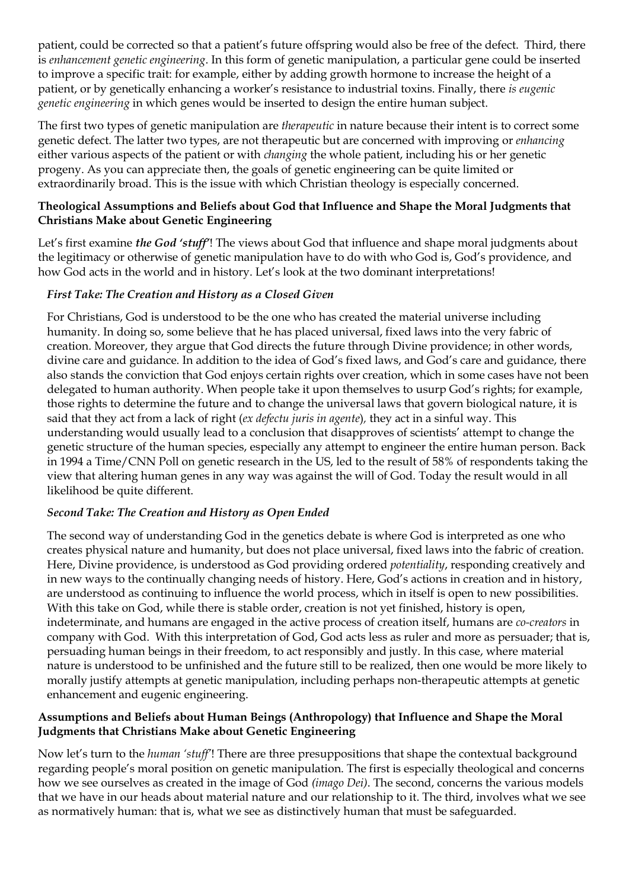patient, could be corrected so that a patient's future offspring would also be free of the defect. Third, there is *enhancement genetic engineering*. In this form of genetic manipulation, a particular gene could be inserted to improve a specific trait: for example, either by adding growth hormone to increase the height of a patient, or by genetically enhancing a worker's resistance to industrial toxins. Finally, there *is eugenic genetic engineering* in which genes would be inserted to design the entire human subject.

The first two types of genetic manipulation are *therapeutic* in nature because their intent is to correct some genetic defect. The latter two types, are not therapeutic but are concerned with improving or *enhancing*  either various aspects of the patient or with *changing* the whole patient, including his or her genetic progeny. As you can appreciate then, the goals of genetic engineering can be quite limited or extraordinarily broad. This is the issue with which Christian theology is especially concerned.

### **Theological Assumptions and Beliefs about God that Influence and Shape the Moral Judgments that Christians Make about Genetic Engineering**

Let's first examine *the God 'stuff'*! The views about God that influence and shape moral judgments about the legitimacy or otherwise of genetic manipulation have to do with who God is, God's providence, and how God acts in the world and in history. Let's look at the two dominant interpretations!

# *First Take: The Creation and History as a Closed Given*

For Christians, God is understood to be the one who has created the material universe including humanity. In doing so, some believe that he has placed universal, fixed laws into the very fabric of creation. Moreover, they argue that God directs the future through Divine providence; in other words, divine care and guidance. In addition to the idea of God's fixed laws, and God's care and guidance, there also stands the conviction that God enjoys certain rights over creation, which in some cases have not been delegated to human authority. When people take it upon themselves to usurp God's rights; for example, those rights to determine the future and to change the universal laws that govern biological nature, it is said that they act from a lack of right (*ex defectu juris in agente*)*,* they act in a sinful way. This understanding would usually lead to a conclusion that disapproves of scientists' attempt to change the genetic structure of the human species, especially any attempt to engineer the entire human person. Back in 1994 a Time/CNN Poll on genetic research in the US, led to the result of 58% of respondents taking the view that altering human genes in any way was against the will of God. Today the result would in all likelihood be quite different.

# *Second Take: The Creation and History as Open Ended*

The second way of understanding God in the genetics debate is where God is interpreted as one who creates physical nature and humanity, but does not place universal, fixed laws into the fabric of creation. Here, Divine providence, is understood as God providing ordered *potentiality*, responding creatively and in new ways to the continually changing needs of history. Here, God's actions in creation and in history, are understood as continuing to influence the world process, which in itself is open to new possibilities. With this take on God, while there is stable order, creation is not yet finished, history is open, indeterminate, and humans are engaged in the active process of creation itself, humans are *co-creators* in company with God. With this interpretation of God, God acts less as ruler and more as persuader; that is, persuading human beings in their freedom, to act responsibly and justly. In this case, where material nature is understood to be unfinished and the future still to be realized, then one would be more likely to morally justify attempts at genetic manipulation, including perhaps non-therapeutic attempts at genetic enhancement and eugenic engineering.

## **Assumptions and Beliefs about Human Beings (Anthropology) that Influence and Shape the Moral Judgments that Christians Make about Genetic Engineering**

Now let's turn to the *human 'stuff'*! There are three presuppositions that shape the contextual background regarding people's moral position on genetic manipulation. The first is especially theological and concerns how we see ourselves as created in the image of God *(imago Dei)*. The second, concerns the various models that we have in our heads about material nature and our relationship to it. The third, involves what we see as normatively human: that is, what we see as distinctively human that must be safeguarded.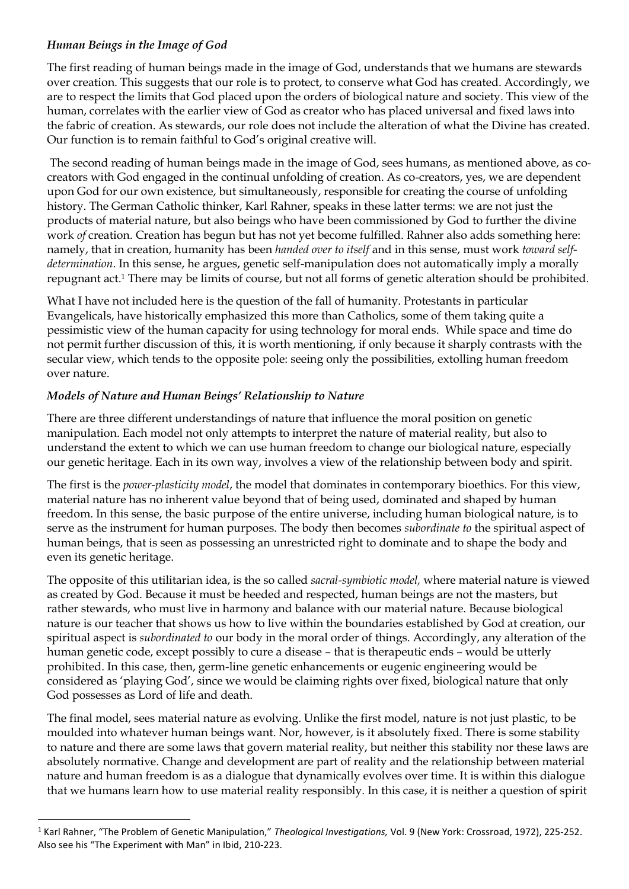## *Human Beings in the Image of God*

The first reading of human beings made in the image of God, understands that we humans are stewards over creation. This suggests that our role is to protect, to conserve what God has created. Accordingly, we are to respect the limits that God placed upon the orders of biological nature and society. This view of the human, correlates with the earlier view of God as creator who has placed universal and fixed laws into the fabric of creation. As stewards, our role does not include the alteration of what the Divine has created. Our function is to remain faithful to God's original creative will.

The second reading of human beings made in the image of God, sees humans, as mentioned above, as cocreators with God engaged in the continual unfolding of creation. As co-creators, yes, we are dependent upon God for our own existence, but simultaneously, responsible for creating the course of unfolding history. The German Catholic thinker, Karl Rahner, speaks in these latter terms: we are not just the products of material nature, but also beings who have been commissioned by God to further the divine work *of* creation. Creation has begun but has not yet become fulfilled. Rahner also adds something here: namely, that in creation, humanity has been *handed over to itself* and in this sense, must work *toward selfdetermination*. In this sense, he argues, genetic self-manipulation does not automatically imply a morally repugnant act. <sup>1</sup> There may be limits of course, but not all forms of genetic alteration should be prohibited.

What I have not included here is the question of the fall of humanity. Protestants in particular Evangelicals, have historically emphasized this more than Catholics, some of them taking quite a pessimistic view of the human capacity for using technology for moral ends. While space and time do not permit further discussion of this, it is worth mentioning, if only because it sharply contrasts with the secular view, which tends to the opposite pole: seeing only the possibilities, extolling human freedom over nature.

## *Models of Nature and Human Beings' Relationship to Nature*

There are three different understandings of nature that influence the moral position on genetic manipulation. Each model not only attempts to interpret the nature of material reality, but also to understand the extent to which we can use human freedom to change our biological nature, especially our genetic heritage. Each in its own way, involves a view of the relationship between body and spirit.

The first is the *power-plasticity model*, the model that dominates in contemporary bioethics. For this view, material nature has no inherent value beyond that of being used, dominated and shaped by human freedom. In this sense, the basic purpose of the entire universe, including human biological nature, is to serve as the instrument for human purposes. The body then becomes *subordinate to* the spiritual aspect of human beings, that is seen as possessing an unrestricted right to dominate and to shape the body and even its genetic heritage.

The opposite of this utilitarian idea, is the so called *sacral-symbiotic model,* where material nature is viewed as created by God. Because it must be heeded and respected, human beings are not the masters, but rather stewards, who must live in harmony and balance with our material nature. Because biological nature is our teacher that shows us how to live within the boundaries established by God at creation, our spiritual aspect is *subordinated to* our body in the moral order of things. Accordingly, any alteration of the human genetic code, except possibly to cure a disease – that is therapeutic ends – would be utterly prohibited. In this case, then, germ-line genetic enhancements or eugenic engineering would be considered as 'playing God', since we would be claiming rights over fixed, biological nature that only God possesses as Lord of life and death.

The final model, sees material nature as evolving. Unlike the first model, nature is not just plastic, to be moulded into whatever human beings want. Nor, however, is it absolutely fixed. There is some stability to nature and there are some laws that govern material reality, but neither this stability nor these laws are absolutely normative. Change and development are part of reality and the relationship between material nature and human freedom is as a dialogue that dynamically evolves over time. It is within this dialogue that we humans learn how to use material reality responsibly. In this case, it is neither a question of spirit

<sup>1</sup> Karl Rahner, "The Problem of Genetic Manipulation," *Theological Investigations,* Vol. 9 (New York: Crossroad, 1972), 225-252. Also see his "The Experiment with Man" in Ibid, 210-223.